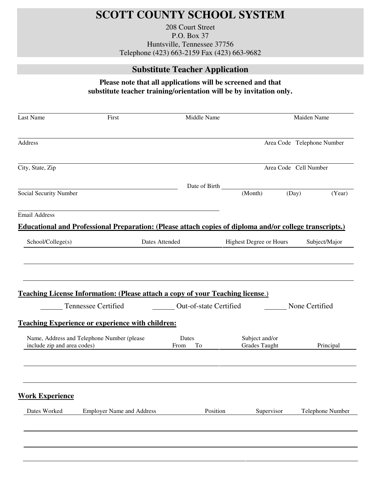## **SCOTT COUNTY SCHOOL SYSTEM**

208 Court Street P.O. Box 37 Huntsville, Tennessee 37756 Telephone (423) 663-2159 Fax (423) 663-9682

## **Substitute Teacher Application**

## **Please note that all applications will be screened and that substitute teacher training/orientation will be by invitation only.**

| Last Name                   | First                                                                                                   | Middle Name                   |                                        |       | Maiden Name                |
|-----------------------------|---------------------------------------------------------------------------------------------------------|-------------------------------|----------------------------------------|-------|----------------------------|
| Address                     |                                                                                                         |                               |                                        |       | Area Code Telephone Number |
| City, State, Zip            |                                                                                                         |                               |                                        |       | Area Code Cell Number      |
|                             |                                                                                                         | Date of Birth                 |                                        |       |                            |
| Social Security Number      |                                                                                                         |                               | (Month)                                | (Day) | (Year)                     |
| <b>Email Address</b>        |                                                                                                         |                               |                                        |       |                            |
|                             | Educational and Professional Preparation: (Please attach copies of diploma and/or college transcripts.) |                               |                                        |       |                            |
| School/College(s)           | Dates Attended                                                                                          |                               | <b>Highest Degree or Hours</b>         |       | Subject/Major              |
|                             | <b>Teaching License Information: (Please attach a copy of your Teaching license.)</b>                   |                               |                                        |       |                            |
|                             | Tennessee Certified                                                                                     | <b>Out-of-state Certified</b> |                                        |       | None Certified             |
|                             | <b>Teaching Experience or experience with children:</b>                                                 |                               |                                        |       |                            |
| include zip and area codes) | Name, Address and Telephone Number (please                                                              | Dates<br>From<br>To           | Subject and/or<br><b>Grades Taught</b> |       | Principal                  |
|                             |                                                                                                         |                               |                                        |       |                            |
| <b>Work Experience</b>      |                                                                                                         |                               |                                        |       |                            |
| Dates Worked                | <b>Employer Name and Address</b>                                                                        | Position                      | Supervisor                             |       | Telephone Number           |
|                             |                                                                                                         |                               |                                        |       |                            |